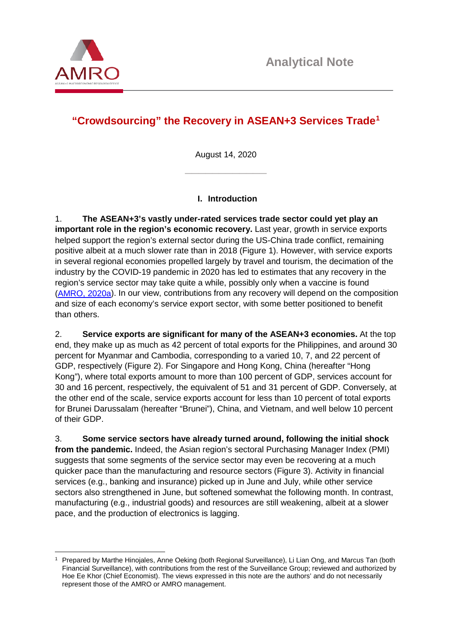

-

# **"Crowdsourcing" the Recovery in ASEAN+3 Services Trade[1](#page-0-0)**

August 14, 2020 \_\_\_\_\_\_\_\_\_\_\_\_

## **I. Introduction**

1. **The ASEAN+3's vastly under-rated services trade sector could yet play an important role in the region's economic recovery.** Last year, growth in service exports helped support the region's external sector during the US-China trade conflict, remaining positive albeit at a much slower rate than in 2018 (Figure 1). However, with service exports in several regional economies propelled largely by travel and tourism, the decimation of the industry by the COVID-19 pandemic in 2020 has led to estimates that any recovery in the region's service sector may take quite a while, possibly only when a vaccine is found [\(AMRO, 2020a\)](https://www.amro-asia.org/full-report-asean3-regional-economic-outlook-2020/). In our view, contributions from any recovery will depend on the composition and size of each economy's service export sector, with some better positioned to benefit than others.

2. **Service exports are significant for many of the ASEAN+3 economies.** At the top end, they make up as much as 42 percent of total exports for the Philippines, and around 30 percent for Myanmar and Cambodia, corresponding to a varied 10, 7, and 22 percent of GDP, respectively (Figure 2). For Singapore and Hong Kong, China (hereafter "Hong Kong"), where total exports amount to more than 100 percent of GDP, services account for 30 and 16 percent, respectively, the equivalent of 51 and 31 percent of GDP. Conversely, at the other end of the scale, service exports account for less than 10 percent of total exports for Brunei Darussalam (hereafter "Brunei"), China, and Vietnam, and well below 10 percent of their GDP.

3. **Some service sectors have already turned around, following the initial shock from the pandemic.** Indeed, the Asian region's sectoral Purchasing Manager Index (PMI) suggests that some segments of the service sector may even be recovering at a much quicker pace than the manufacturing and resource sectors (Figure 3). Activity in financial services (e.g., banking and insurance) picked up in June and July, while other service sectors also strengthened in June, but softened somewhat the following month. In contrast, manufacturing (e.g., industrial goods) and resources are still weakening, albeit at a slower pace, and the production of electronics is lagging.

<span id="page-0-0"></span><sup>1</sup> Prepared by Marthe Hinojales, Anne Oeking (both Regional Surveillance), Li Lian Ong, and Marcus Tan (both Financial Surveillance), with contributions from the rest of the Surveillance Group; reviewed and authorized by Hoe Ee Khor (Chief Economist). The views expressed in this note are the authors' and do not necessarily represent those of the AMRO or AMRO management.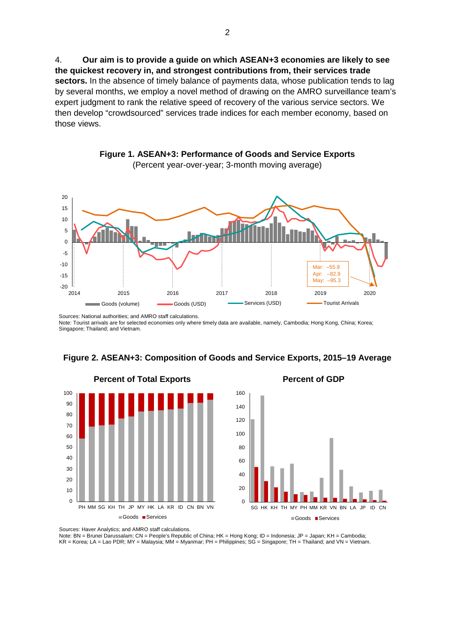4. **Our aim is to provide a guide on which ASEAN+3 economies are likely to see the quickest recovery in, and strongest contributions from, their services trade sectors.** In the absence of timely balance of payments data, whose publication tends to lag by several months, we employ a novel method of drawing on the AMRO surveillance team's expert judgment to rank the relative speed of recovery of the various service sectors. We then develop "crowdsourced" services trade indices for each member economy, based on those views.



**Figure 1. ASEAN+3: Performance of Goods and Service Exports** (Percent year-over-year; 3-month moving average)

Sources: National authorities; and AMRO staff calculations. Note: Tourist arrivals are for selected economies only where timely data are available, namely, Cambodia; Hong Kong, China; Korea; Singapore; Thailand; and Vietnam.



#### **Figure 2. ASEAN+3: Composition of Goods and Service Exports, 2015–19 Average**

 $\Omega$ 20 40 60 80 100 120 140 160 SG HK KH TH MY PH MM KR VN BN LA JP ID CN Goods Services

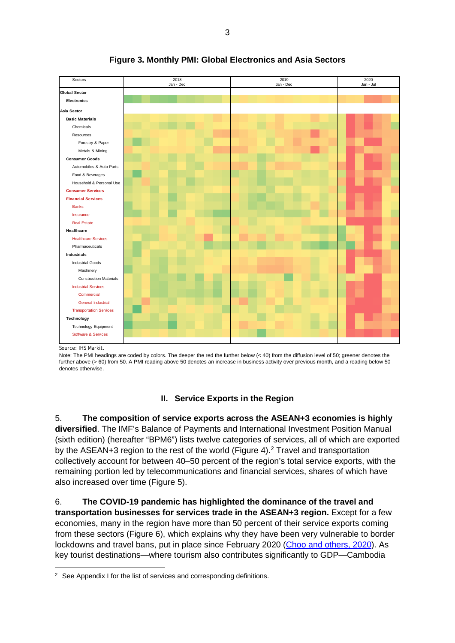

## **Figure 3. Monthly PMI: Global Electronics and Asia Sectors**

Source: IHS Markit.

Note: The PMI headings are coded by colors. The deeper the red the further below (< 40) from the diffusion level of 50; greener denotes the further above (> 60) from 50. A PMI reading above 50 denotes an increase in business activity over previous month, and a reading below 50 denotes otherwise.

## **II. Service Exports in the Region**

5. **The composition of service exports across the ASEAN+3 economies is highly diversified**. The IMF's Balance of Payments and International Investment Position Manual (sixth edition) (hereafter "BPM6") lists twelve categories of services, all of which are exported by the ASEAN+3 region to the rest of the world (Figure 4).<sup>[2](#page-2-0)</sup> Travel and transportation collectively account for between 40–50 percent of the region's total service exports, with the remaining portion led by telecommunications and financial services, shares of which have also increased over time (Figure 5).

6. **The COVID-19 pandemic has highlighted the dominance of the travel and transportation businesses for services trade in the ASEAN+3 region.** Except for a few economies, many in the region have more than 50 percent of their service exports coming from these sectors (Figure 6), which explains why they have been very vulnerable to border lockdowns and travel bans, put in place since February 2020 [\(Choo and others, 2020\)](https://www.amro-asia.org/a-lonely-planet-asean3-travel-and-tourism-in-the-time-of-covid-19/). As key tourist destinations—where tourism also contributes significantly to GDP—Cambodia

<span id="page-2-0"></span><sup>1</sup>  $2$  See Appendix I for the list of services and corresponding definitions.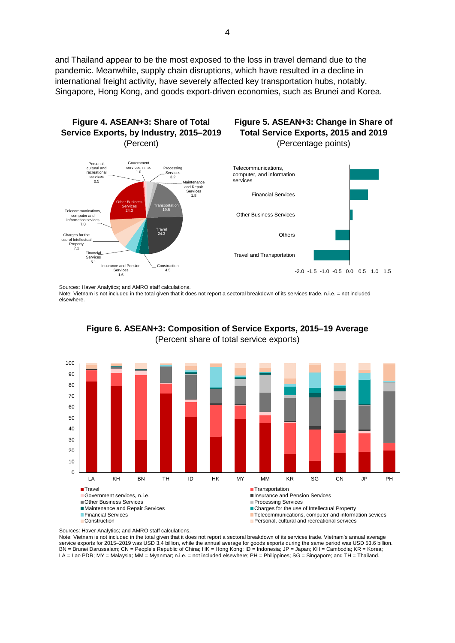and Thailand appear to be the most exposed to the loss in travel demand due to the pandemic. Meanwhile, supply chain disruptions, which have resulted in a decline in international freight activity, have severely affected key transportation hubs, notably, Singapore, Hong Kong, and goods export-driven economies, such as Brunei and Korea.



Sources: Haver Analytics; and AMRO staff calculations.

Note: Vietnam is not included in the total given that it does not report a sectoral breakdown of its services trade. n.i.e. = not included elsewhere.



**Figure 6. ASEAN+3: Composition of Service Exports, 2015–19 Average** (Percent share of total service exports)

Note: Vietnam is not included in the total given that it does not report a sectoral breakdown of its services trade. Vietnam's annual average service exports for 2015–2019 was USD 3.4 billion, while the annual average for goods exports during the same period was USD 53.6 billion. BN = Brunei Darussalam; CN = People's Republic of China; HK = Hong Kong; ID = Indonesia; JP = Japan; KH = Cambodia; KR = Korea; LA = Lao PDR; MY = Malaysia; MM = Myanmar; n.i.e. = not included elsewhere; PH = Philippines; SG = Singapore; and TH = Thailand.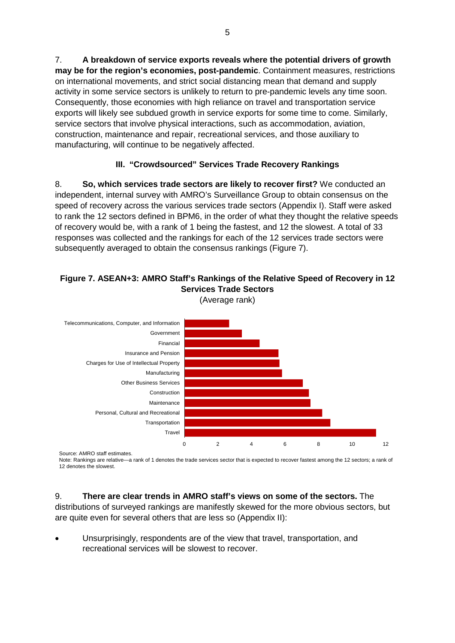7. **A breakdown of service exports reveals where the potential drivers of growth may be for the region's economies, post-pandemic**. Containment measures, restrictions on international movements, and strict social distancing mean that demand and supply activity in some service sectors is unlikely to return to pre-pandemic levels any time soon. Consequently, those economies with high reliance on travel and transportation service exports will likely see subdued growth in service exports for some time to come. Similarly, service sectors that involve physical interactions, such as accommodation, aviation, construction, maintenance and repair, recreational services, and those auxiliary to manufacturing, will continue to be negatively affected.

## **III. "Crowdsourced" Services Trade Recovery Rankings**

8. **So, which services trade sectors are likely to recover first?** We conducted an independent, internal survey with AMRO's Surveillance Group to obtain consensus on the speed of recovery across the various services trade sectors (Appendix I). Staff were asked to rank the 12 sectors defined in BPM6, in the order of what they thought the relative speeds of recovery would be, with a rank of 1 being the fastest, and 12 the slowest. A total of 33 responses was collected and the rankings for each of the 12 services trade sectors were subsequently averaged to obtain the consensus rankings (Figure 7).

### **Figure 7. ASEAN+3: AMRO Staff's Rankings of the Relative Speed of Recovery in 12 Services Trade Sectors** (Average rank)



Source: AMRO staff estimates.

Note: Rankings are relative—a rank of 1 denotes the trade services sector that is expected to recover fastest among the 12 sectors; a rank of 12 denotes the slowest.

## 9. **There are clear trends in AMRO staff's views on some of the sectors.** The

distributions of surveyed rankings are manifestly skewed for the more obvious sectors, but are quite even for several others that are less so (Appendix II):

• Unsurprisingly, respondents are of the view that travel, transportation, and recreational services will be slowest to recover.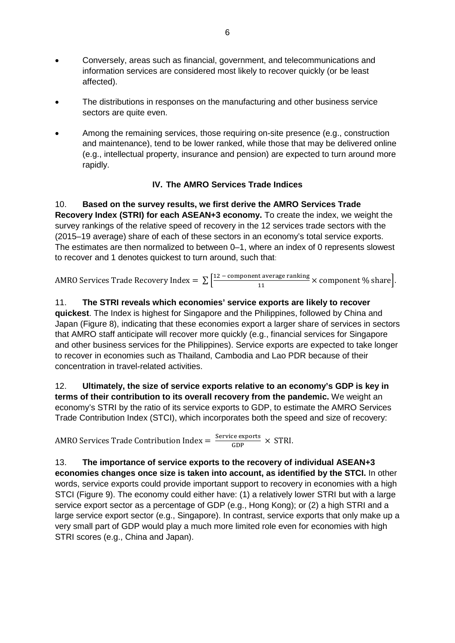- Conversely, areas such as financial, government, and telecommunications and information services are considered most likely to recover quickly (or be least affected).
- The distributions in responses on the manufacturing and other business service sectors are quite even.
- Among the remaining services, those requiring on-site presence (e.g., construction and maintenance), tend to be lower ranked, while those that may be delivered online (e.g., intellectual property, insurance and pension) are expected to turn around more rapidly.

## **IV. The AMRO Services Trade Indices**

10. **Based on the survey results, we first derive the AMRO Services Trade Recovery Index (STRI) for each ASEAN+3 economy.** To create the index, we weight the survey rankings of the relative speed of recovery in the 12 services trade sectors with the (2015–19 average) share of each of these sectors in an economy's total service exports. The estimates are then normalized to between 0–1, where an index of 0 represents slowest to recover and 1 denotes quickest to turn around, such that:

AMRO Services Trade Recovery Index  $= \sum_{n=1}^{\infty} \frac{12 - \text{component average ranking}}{11}$  $\frac{1}{11}$  × component % share.

11. **The STRI reveals which economies' service exports are likely to recover quickest**. The Index is highest for Singapore and the Philippines, followed by China and Japan (Figure 8), indicating that these economies export a larger share of services in sectors that AMRO staff anticipate will recover more quickly (e.g., financial services for Singapore and other business services for the Philippines). Service exports are expected to take longer to recover in economies such as Thailand, Cambodia and Lao PDR because of their concentration in travel-related activities.

12. **Ultimately, the size of service exports relative to an economy's GDP is key in terms of their contribution to its overall recovery from the pandemic.** We weight an economy's STRI by the ratio of its service exports to GDP, to estimate the AMRO Services Trade Contribution Index (STCI), which incorporates both the speed and size of recovery:

AMRO Services Trade Contribution Index  $=$   $\frac{\text{Service exports}}{\text{GDP}} \times \text{STRI}.$ 

13. **The importance of service exports to the recovery of individual ASEAN+3 economies changes once size is taken into account, as identified by the STCI.** In other words, service exports could provide important support to recovery in economies with a high STCI (Figure 9). The economy could either have: (1) a relatively lower STRI but with a large service export sector as a percentage of GDP (e.g., Hong Kong); or (2) a high STRI and a large service export sector (e.g., Singapore). In contrast, service exports that only make up a very small part of GDP would play a much more limited role even for economies with high STRI scores (e.g., China and Japan).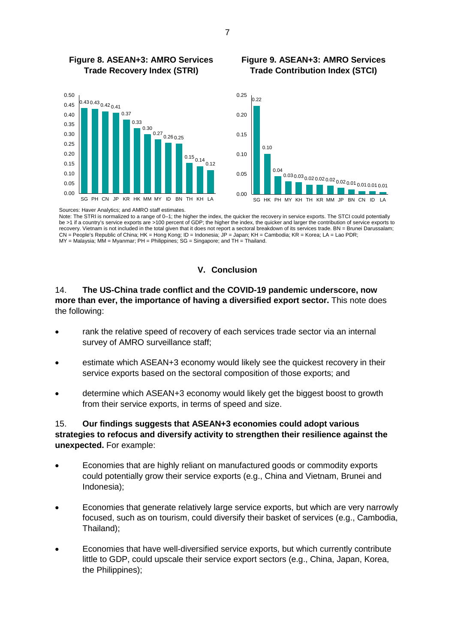

#### **Figure 8. ASEAN+3: AMRO Services Trade Recovery Index (STRI) Figure 9. ASEAN+3: AMRO Services Trade Contribution Index (STCI)**



Sources: Haver Analytics; and AMRO staff estimates.

Note: The STRI is normalized to a range of 0–1; the higher the index, the quicker the recovery in service exports. The STCI could potentially be >1 if a country's service exports are >100 percent of GDP; the higher the index, the quicker and larger the contribution of service exports to recovery. Vietnam is not included in the total given that it does not report a sectoral breakdown of its services trade. BN = Brunei Darussalam; CN = People's Republic of China; HK = Hong Kong; ID = Indonesia; JP = Japan; KH = Cambodia; KR = Korea; LA = Lao PDR; MY = Malaysia; MM = Myanmar; PH = Philippines; SG = Singapore; and TH = Thailand.

### **V. Conclusion**

## 14. **The US-China trade conflict and the COVID-19 pandemic underscore, now more than ever, the importance of having a diversified export sector.** This note does the following:

- rank the relative speed of recovery of each services trade sector via an internal survey of AMRO surveillance staff;
- estimate which ASEAN+3 economy would likely see the quickest recovery in their service exports based on the sectoral composition of those exports; and
- determine which ASEAN+3 economy would likely get the biggest boost to growth from their service exports, in terms of speed and size.

## 15. **Our findings suggests that ASEAN+3 economies could adopt various strategies to refocus and diversify activity to strengthen their resilience against the unexpected.** For example:

- Economies that are highly reliant on manufactured goods or commodity exports could potentially grow their service exports (e.g., China and Vietnam, Brunei and Indonesia);
- Economies that generate relatively large service exports, but which are very narrowly focused, such as on tourism, could diversify their basket of services (e.g., Cambodia, Thailand);
- Economies that have well-diversified service exports, but which currently contribute little to GDP, could upscale their service export sectors (e.g., China, Japan, Korea, the Philippines);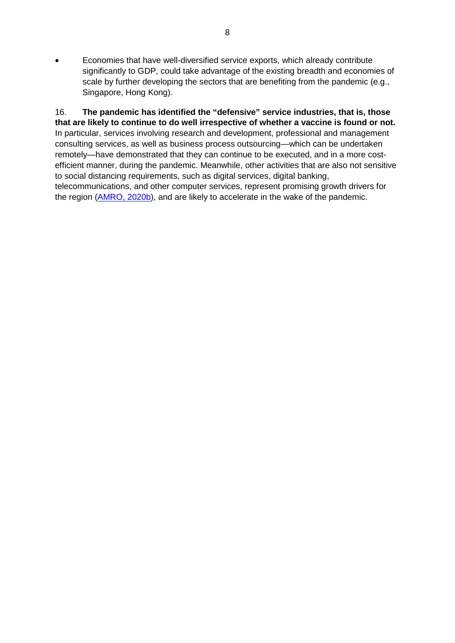• Economies that have well-diversified service exports, which already contribute significantly to GDP, could take advantage of the existing breadth and economies of scale by further developing the sectors that are benefiting from the pandemic (e.g., Singapore, Hong Kong).

16. **The pandemic has identified the "defensive" service industries, that is, those that are likely to continue to do well irrespective of whether a vaccine is found or not.** In particular, services involving research and development, professional and management consulting services, as well as business process outsourcing—which can be undertaken remotely—have demonstrated that they can continue to be executed, and in a more costefficient manner, during the pandemic. Meanwhile, other activities that are also not sensitive to social distancing requirements, such as digital services, digital banking, telecommunications, and other computer services, represent promising growth drivers for the region [\(AMRO, 2020b\)](https://www.amro-asia.org/full-report-asean3-regional-economic-outlook-2020/), and are likely to accelerate in the wake of the pandemic.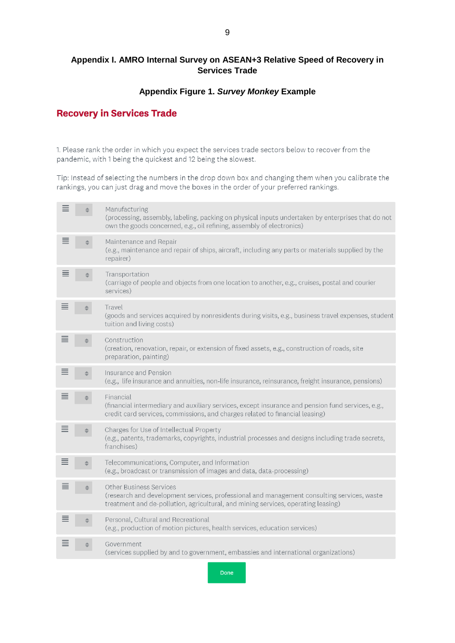## **Appendix I. AMRO Internal Survey on ASEAN+3 Relative Speed of Recovery in Services Trade**

### **Appendix Figure 1.** *Survey Monkey* **Example**

## **Recovery in Services Trade**

1. Please rank the order in which you expect the services trade sectors below to recover from the pandemic, with 1 being the quickest and 12 being the slowest.

Tip: Instead of selecting the numbers in the drop down box and changing them when you calibrate the rankings, you can just drag and move the boxes in the order of your preferred rankings.

|   | Manufacturing<br>(processing, assembly, labeling, packing on physical inputs undertaken by enterprises that do not<br>own the goods concerned, e.g., oil refining, assembly of electronics)                       |
|---|-------------------------------------------------------------------------------------------------------------------------------------------------------------------------------------------------------------------|
| ≡ | Maintenance and Repair<br>(e.g., maintenance and repair of ships, aircraft, including any parts or materials supplied by the<br>repairer)                                                                         |
| ≡ | Transportation<br>(carriage of people and objects from one location to another, e.g., cruises, postal and courier<br>services)                                                                                    |
|   | Travel<br>(goods and services acquired by nonresidents during visits, e.g., business travel expenses, student<br>tuition and living costs)                                                                        |
|   | Construction<br>(creation, renovation, repair, or extension of fixed assets, e.g., construction of roads, site<br>preparation, painting)                                                                          |
|   | Insurance and Pension<br>(e.g., life insurance and annuities, non-life insurance, reinsurance, freight insurance, pensions)                                                                                       |
|   | Financial<br>(financial intermediary and auxiliary services, except insurance and pension fund services, e.g.,<br>credit card services, commissions, and charges related to financial leasing)                    |
|   | Charges for Use of Intellectual Property<br>(e.g., patents, trademarks, copyrights, industrial processes and designs including trade secrets,<br>franchises)                                                      |
|   | Telecommunications, Computer, and Information<br>(e.g., broadcast or transmission of images and data, data-processing)                                                                                            |
|   | <b>Other Business Services</b><br>(research and development services, professional and management consulting services, waste<br>treatment and de-pollution, agricultural, and mining services, operating leasing) |
|   | Personal, Cultural and Recreational<br>(e.g., production of motion pictures, health services, education services)                                                                                                 |
|   | Government<br>(services supplied by and to government, embassies and international organizations)                                                                                                                 |

9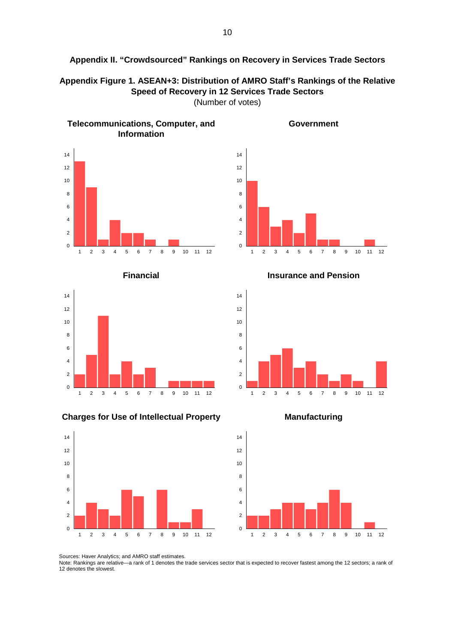

**Appendix Figure 1. ASEAN+3: Distribution of AMRO Staff's Rankings of the Relative Speed of Recovery in 12 Services Trade Sectors** (Number of votes)





**Government**





**Financial Insurance and Pension**



#### **Charges for Use of Intellectual Property Manufacturing**





Sources: Haver Analytics; and AMRO staff estimates.

Note: Rankings are relative—a rank of 1 denotes the trade services sector that is expected to recover fastest among the 12 sectors; a rank of 12 denotes the slowest.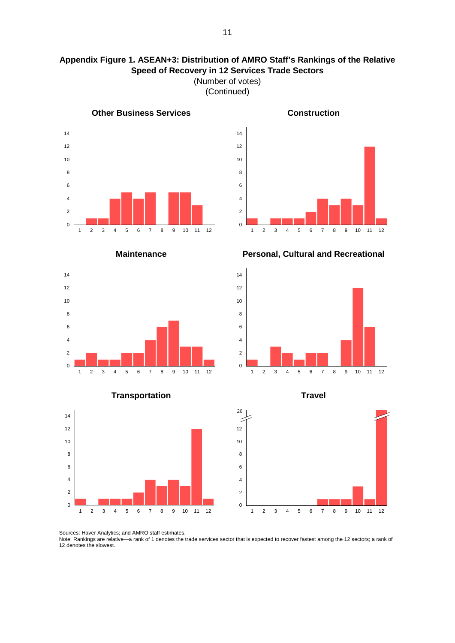## **Appendix Figure 1. ASEAN+3: Distribution of AMRO Staff's Rankings of the Relative Speed of Recovery in 12 Services Trade Sectors** (Number of votes)

(Continued)



**Other Business Services Construction** 







## **Transportation Travel**



**Maintenance Personal, Cultural and Recreational**







Sources: Haver Analytics; and AMRO staff estimates.

Note: Rankings are relative—a rank of 1 denotes the trade services sector that is expected to recover fastest among the 12 sectors; a rank of 12 denotes the slowest.